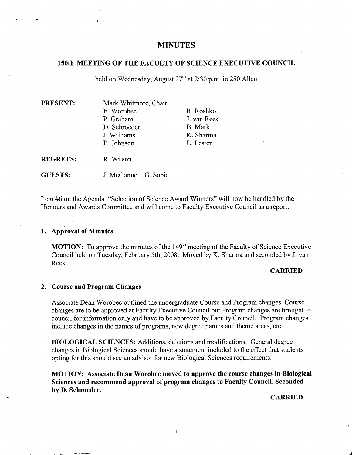# **MINUTES**

#### **150th MEETING OF THE FACULTY OF SCIENCE EXECUTIVE COUNCIL**

held on Wednesday, August 27<sup>th</sup> at 2:30 p.m. in 250 Allen

**PRESENT:** Mark Whitmore, Chair E. Worobec R. Roshko P. Graham J. van Rees D. Schroeder B. Mark J. Williams K. Sharma B. Johnson L. Lester

**REGRETS:** R. Wilson

GUESTS: J. McConnell, G. Sobie

Item #6 on the Agenda "Selection of Science Award Winners" will now be handled by the Honours and Awards Committee and will come to Faculty Executive Council as a report.

#### **Approval of Minutes**

**MOTION:** To approve the minutes of the 149<sup>th</sup> meeting of the Faculty of Science Executive Council held on Tuesday, February 5th, 2008. Moved by K. Sharma and seconded by J. van Rees.

#### **CARRIED**

### **Course and Program Changes**

Associate Dean Worobec outlined the undergraduate Course and Program changes. Course changes are to be approved at Faculty Executive Council but Program changes are brought to council for information only and have to be approved by Faculty Council. Program changes include changes in the names of programs, new degree names and theme areas, etc.

**BIOLOGICAL SCIENCES:** Additions, deletions and modifications. General degree changes in Biological Sciences should have a statement included to the effect that students opting for this should see an advisor for new Biological Sciences requirements.

**MOTION: Associate Dean Worobec moved to approve the course changes in Biological Sciences and recommend approval of program changes to Faculty Council. Seconded by D. Schroeder.** 

#### **CARRIED**

 $\mathbf{1}$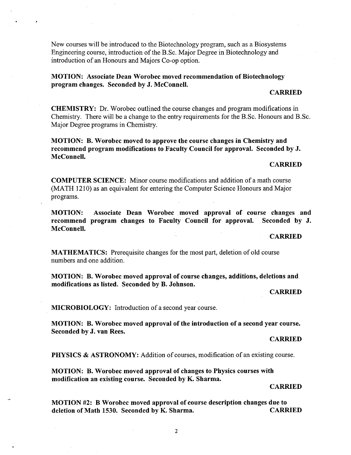New courses will be introduced to the Biotechnology program, such as a Biosystems Engineering course, introduction of the B.Sc. Major Degree in Biotechnology and introduction of an Honours and Majors Co-op option.

**MOTION: Associate Dean Worobec moved recommendation of Biotechnology program changes. Seconded by J. McConnell.** 

#### **CARRIED**

**CHEMISTRY:** Dr. Worobec outlined the course changes and program modifications in Chemistry. There will be a change to the entry requirements for the B.Sc. Honours and B.Sc. Major Degree programs in Chemistry.

**MOTION: B. Worobec moved to approve the course changes in Chemistry and recommend program modifications to Faculty Council for approval. Seconded by J. McConnell.** 

#### **CARRIED**

**COMPUTER SCIENCE:** Minor course modifications and addition of a math course (MATH 1210) as an equivalent for entering the Computer Science Honours and Major programs.

**MOTION: Associate Dean Worobec moved approval of course changes and recommend program changes to Faculty Council for approval. Seconded by J. McConnell.** 

#### **CARRIED**

**MATHEMATICS:** Prerequisite changes for the most part, deletion of old course numbers and one addition.

**MOTION: B. Worobec moved approval of course changes, additions, deletions and modifications as listed. Seconded by B. Johnson.** 

**CARRIED** 

**MICROBIOLOGY:** Introduction of a second year course.

**MOTION: B. Worobec moved approval of the introduction of a second year course. Seconded by J. van Rees.** 

#### **CARRIED**

**PHYSICS & ASTRONOMY:** Addition of courses, modification of an existing course.

**MOTION: B. Worobec moved approval of changes to Physics courses with modification an existing course. Seconded by K. Sharma.** 

#### **CARRIED**

**MOTION #2: B Worobec moved approval of course description changes due to deletion of Math 1530. Seconded** by K. **Sharma. CARRIED**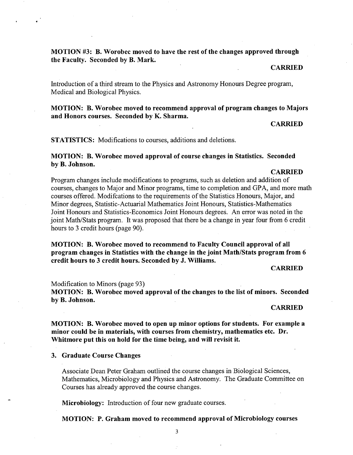**MOTION #3: B. Worobec moved to have the rest of the changes approved through the Faculty. Seconded by B. Mark.** 

#### **CARRIED**

Introduction of a third stream to the Physics and Astronomy Honours Degree program, Medical and Biological Physics.

**MOTION: B. Worobec moved to recommend approval of program changes to Majors and Honors courses. Seconded** by K. **Sharma.** 

#### **CARRIED**

**STATISTICS:** Modifications to courses, additions and deletions.

**MOTION: B. Worobec moved approval of course changes in Statistics. Seconded**  by **B. Johnson.** 

#### **CARRIED**

Program changes include modifications to programs, such as deletion and addition of courses, changes to Major and Minor programs, time to completion and GPA, and more math courses offered. Modifcations to the requirements of the Statistics Honours, Major, and Minor degrees, Statistic-Actuarial Mathematics Joint Honours, Statistics-Mathematics Joint Honours and Statistics-Economics Joint Honours degtees. An error was noted in the joint Math/Stats program. It was proposed that there be a change in year four from 6 credit hours to 3 credit hours (page 90).

**MOTION: B. Worobec moved to recommend to Faculty Council approval of all program changes in Statistics with the change in the joint Math/Stats program from 6 credit hours to 3 credit hours. Seconded by J. Williams.** 

#### **CARRIED**

#### Modification to Minors (page 93)

**MOTION: B. Worobec moved approval of the changes to the list of minors. Seconded**  by **B. Johnson.** 

#### **CARRIED**

**MOTION: B. Worobec moved to open up minor options for students. For example a minor could be in materials, with courses from chemistry, mathematics etc. Dr. Whitmore put this on hold for the time being, and will revisit it.** 

# **3. Graduate Course Changes**

Associate Dean Peter Graham outlined the course changes in Biological Sciences, Mathematics, Microbiology and Physics and Astronomy. The Graduate Committee on Courses has already approved the course changes.

**Microbiology:** Introduction of four new graduate courses.

**MOTION: P. Graham moved to recommend approval of Microbiology courses** 

 $\overline{3}$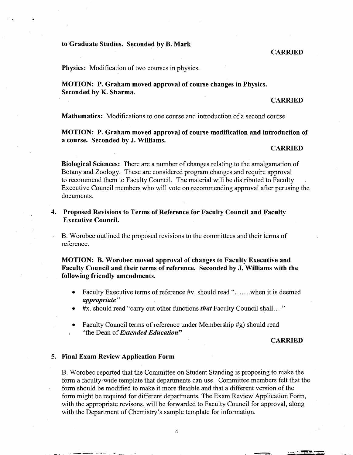#### **to Graduate Studies. Seconded by B. Mark**

#### **CARRIED**

**Physics:** Modification of two courses in physics.

**MOTION: P. Graham moved approval of course changes in Physics. Seconded by** K. **Sharma.** 

#### **CARRIED**

**Mathematics:** Modifications to one course and introduction of a second course.

**MOTION: P. Graham moved approval of course modification and introduction of a course. Seconded by J. Williams.** 

#### **CARRIED**

**Biological Sciences:** There are a number of changes relating to the amalgamation of Botany and Zoology. These are considered program changes and require approval to recommend them to Faculty Council. The material will be distributed to Faculty Executive Council members who will vote on recommending approval after perusing the documents.

# **4. Proposed Revisions to Terms of Reference for Faculty Council and Faculty Executive Council.**

B. Worobec outlined the proposed revisions to the committees and their terms of reference.

**MOTION: B. Worobec moved approval of changes to Faculty Executive and Faculty Council and their terms of reference. Seconded by J. Williams with the following friendly amendments.** 

- Faculty Executive terms of reference #v. should read "......when it is deemed  $\bullet$ *appropriate"*
- #x. should read "carry out other functions *that* Faculty Council shall...."
- Faculty Council terms of reference under Membership #g) should read *"the Dean of Extended Education"*

# **CARRIED**

#### **5. Final Exam Review Application Form**

B. Worobec reported that the Committee on Student Standing is proposing to make the form a faculty-wide template that departments can use. Committee members felt that the form should be modified to make it more flexible and that a different version of the form might be required for different departments. The Exam Review Application Form, with the appropriate revisons, will be forwarded to Faculty Council for approval, along with the Department of Chemistry's sample template for information.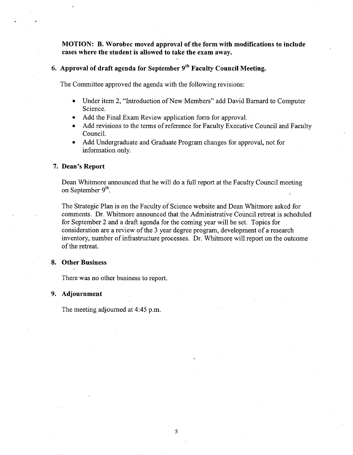**MOTION: B. Worobec moved approval of the form with modifications to include cases where the student is allowed to take the exam away.** 

# **6. Approval of draft agenda for September 9th Faculty Council Meeting.**

The Committee approved the agenda with the following revisions:

- Under item 2, "Introduction of New Members" add David Barnard to Computer  $\bullet$ Science.
- Add the Final Exam Review application form for approval.
- Add revisions to the terms of reference for Faculty Executive Council and Faculty Council.
- Add Undergraduate and Graduate Program changes for approval, not for information only.

#### **Dean's Report**

Dean Whitmore announced that he will do a full report at the Faculty Council meeting on September  $9<sup>th</sup>$ .

The Strategic Plan is on the Faculty of Science website and Dean Whitmore asked for comments. Dr. Whitmore announced that the Administrative Council retreat is scheduled for September 2 and a draft agenda for the coming year will be set. Topics for consideration are a review of the 3 year degree program, development of a research inventory, number of infrastructure processes. Dr. Whitmore will report on the outcome of the retreat.

### **Other Business**

There was no other business to report.

### **Adjournment**

The meeting adjourned at *4:45* p.m.